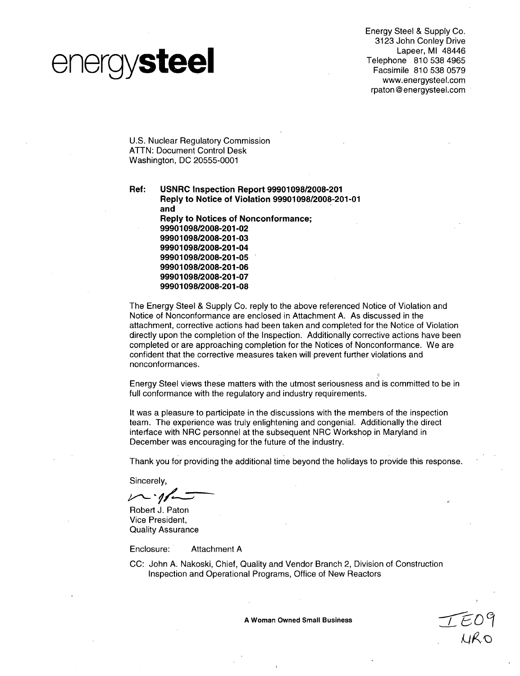# energysteel

Energy Steel & Supply Co. 3123 John Conley Drive Lapeer, MI 48446 Telephone **810 538** 4965 Facsimile 810 538 0579 www.energysteel.com rpaton @ energysteel.com

U.S. Nuclear Regulatory Commission ATTN: Document Control Desk Washington, DC 20555-0001

Ref: **USNRC** Inspection Report **99901098/2008-201** Reply to Notice of Violation **99901098/2008-201-01** and Reply to Notices of Nonconformance; **99901098/2008-201-02 99901098/2008-201-03 99901098/2008-201-04 99901098/2008-201-05 99901098/2008-201-06 99901098/2008-201-07 99901098/2008-201-08**

The Energy Steel & Supply Co. reply to the above referenced Notice of Violation and Notice of Nonconformance are enclosed in Attachment A. As discussed in the attachment, corrective actions had been taken and completed for the Notice of Violation directly upon the completion of the Inspection. Additionally corrective actions have been completed or are approaching completion for the Notices of Nonconformance. We are confident that the corrective measures taken will prevent further violations and nonconformances.

Energy Steel views these matters with the utmost seriousness and is committed to be in full conformance with the regulatory and industry requirements.

It was a pleasure to participate in the discussions with the members of the inspection team. The experience was truly enlightening and congenial. Additionally the direct interface with NRC personnel at the subsequent NRC Workshop in Maryland in December was encouraging for the future of the industry.

Thank you for providing the additional time beyond the holidays to provide this response.

Sincerely,

 $\nu$   $\gamma$ 

Robert J. Paton Vice President, Quality Assurance

Enclosure: Attachment A

CC: John A. Nakoski, Chief, Quality and Vendor Branch 2, Division of Construction Inspection and Operational Programs, Office of New Reactors

**A** Woman Owned Small Business \_\_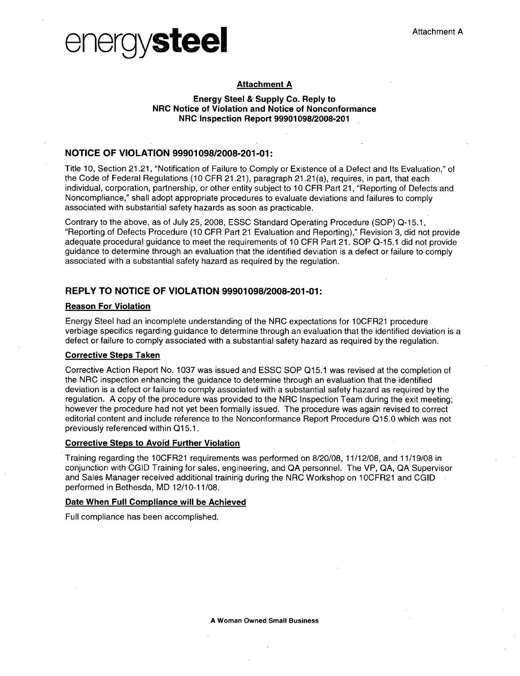



# Attachment **A**

## Energy Steel **&** Supply Co. Reply to NRC Notice of Violation and Notice of Nonconformance NRC Inspection Report **9990109812008-201**

# **NOTICE** OF **VIOLATION 99901098/2008-201-01:**

Title **10,** Section 21.21, "Notification of Failure to Comply or Existence of a Defect and Its Evaluation," of the Code of Federal Regulations **(10** CFR 21.21), paragraph 21.21 (a), requires, in part, that each individual, corporation, partnership, or other entity subject to **10** CFR Part 21, "Reporting of Defects and Noncompliance," shall adopt appropriate procedures to evaluate deviations and failures to comply associated with substantial safety hazards as soon as practicable.

Contrary to the above, as of July 25, 2008, ESSC Standard Operating Procedure **(SOP)** Q-15.1, "Reporting of Defects Procedure **(10** CFR Part 21 Evaluation and Reporting)," Revision **3,** did not provide adequate procedural guidance to meet the requirements of **10** CFR Part 21. **SOP Q-1 5.1** did not provide guidance to determine through an evaluation that the identified deviation is a defect or failure to comply associated with a substantial safety hazard as required **by** the regulation.

# REPLY TO **NOTICE** OF **VIOLATION 99901098/2008-201-01:**

### Reason For Violation

Energy Steel had an incomplete understanding of the NRC expectations for **1** OCFR21 procedure verbiage specifics regarding guidance to determine through an evaluation that the identified deviation is a defect or failure to comply associated with a substantial safety hazard as required **by** the regulation.

# Corrective Steps Taken

Corrective Action Report No. **1037** was issued and **ESSC SOP Q1 5.1** was revised at the completion of the NRC inspection enhancing the guidance to determine through an evaluation that the identified deviation is a defect or failure to comply associated with a substantial safety hazard as required **by** the regulation. **A** copy of the procedure was provided to the NRC Inspection Team during the exit meeting; however the procedure had not yet been formally issued. The procedure was again revised to correct editorial content and include reference to the Nonconformance Report Procedure **Q15.0** which was not previously referenced within **Q15.1.**

### Corrective Steps to Avoid Further Violation

Training regarding the **1** OCFR21 requirements was performed on **8/20/08, 11/12/08,** and **11 /19/08** in conjunction with **CGID** Training for sales, engineering, and **QA** personnel. The VP, **QA, QA** Supervisor and Sales Manager received additional training during the NRC Workshop on **1** OCFR21 and **CGID** performed in Bethesda, MD **12/10-11/08.**

## Date When Full Compliance will be Achieved

Full compliance has been accomplished.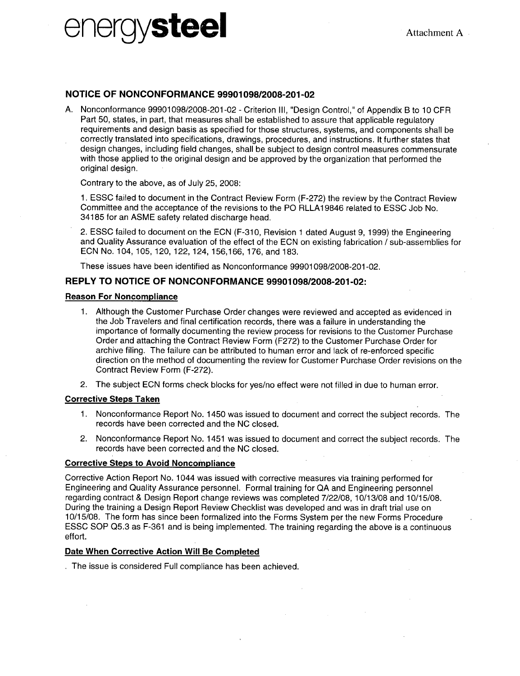# energy**steel** Attachment A

# **NOTICE** OF **NONCONFORMANCE 99901098/2008-201-02**

**A.** Nonconformance 99901098/2008-201-02 - Criterion Ill, "Design Control," of Appendix B to 10 CFR Part 50, states, in part, that measures shall be established to assure that applicable regulatory requirements and design basis as specified for those structures, systems, and components shall be correctly translated into specifications, drawings, procedures, and instructions. It further states that design changes, including field changes, shall be subject to design control measures commensurate with those applied to the original design and be approved by the organization that performed the original design.

Contrary to the above, as of July 25, 2008:

1. ESSC failed to document in the Contract Review Form (F-272) the review by the Contract Review Committee and the acceptance of the revisions to the P0 RLLA1 9846 related to ESSC Job No. 34185 for an ASME safety related discharge head.

2. ESSC failed to document on the ECN (F-310, Revision 1 dated August 9, 1999) the Engineering and Quality Assurance evaluation of the effect of the ECN on existing fabrication **/** sub-assemblies for ECN No. 104,105,120,122,124,156,166,176, and 183.

These issues have been identified as Nonconformance 99901098/2008-201-02.

# REPLY TO **NOTICE** OF **NONCONFORMANCE 99901098/2008-201-02:**

## Reason For Noncompliance

- 1. Although the Customer Purchase Order changes were reviewed and accepted as evidenced in the Job Travelers and final certification records, there was a failure in understanding the importance of formally documenting the review process for revisions to the Customer Purchase Order and attaching the Contract Review Form (F272) to the Customer Purchase Order for archive filing. The failure can be attributed to human error and lack of re-enforced specific direction on the method of documenting the review for Customer Purchase Order revisions on the Contract Review Form (F-272).
- 2. The subject ECN forms check blocks for yes/no effect were not filled in due to human error.

## Corrective Steps Taken

- 1. Nonconformance Report No. 1450 was issued to document and correct the subject records. The records have been corrected and the NC closed.
- 2. Nonconformance Report No. 1451 was issued to document and correct the subject records. The records have been corrected and the NC closed.

# Corrective Steps to Avoid Noncompliance

Corrective Action Report No. 1044 was issued with corrective measures via training performed for Engineering and Quality Assurance personnel. Formal training for QA and Engineering personnel regarding contract & Design Report change reviews was completed 7/22/08, 10/13/08 and 10/15/08. During the training a Design Report Review Checklist was developed and was in draft trial use on 10/15/08. The form has since been formalized into the Forms System per the new Forms Procedure ESSC SOP Q5.3 as F-361 and is being implemented. The training regarding the above is a continuous effort.

# Date When Corrective Action Will Be Comoleted

The issue is considered Full compliance has been achieved.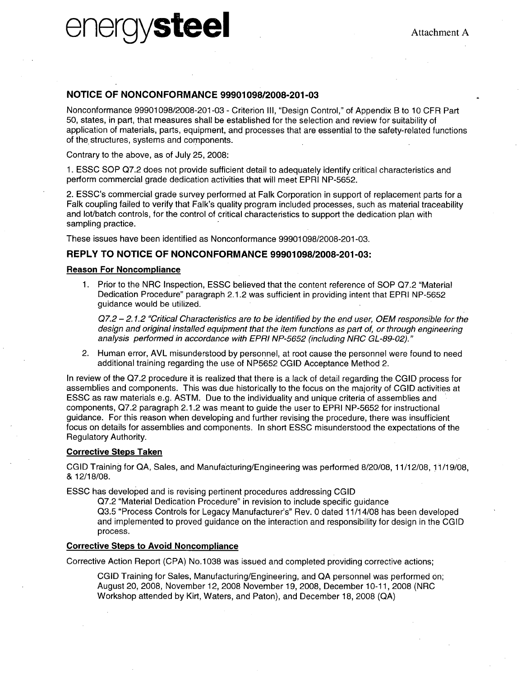# energysteel Attachment **<sup>A</sup>**

# **NOTICE** OF **NONCONFORMANCE 99901098/2008-201-03**

Nonconformance 99901098/2008-201-03 - Criterion III, "Design Control," of Appendix B to 10 CFR Part 50, states, in part, that measures shall be established for the selection and review for suitability of application of materials, parts, equipment, and processes that are essential to the safety-related functions of the structures, systems and components.

Contrary to the above, as of July 25, 2008:

1. ESSC SOP Q7.2 does not provide sufficient detail to adequately identify critical characteristics and perform commercial grade dedication activities that will meet EPRI NP-5652.

2. ESSC's commercial grade survey performed at Falk Corporation in support of replacement parts for a Falk coupling failed to verify that Falk's quality program included processes, such as material traceability and lot/batch controls, for the control of critical characteristics to support the dedication plan with sampling practice.

These issues have been identified as Nonconformance 99901098/2008-201-03.

# REPLY TO **NOTICE** OF **NONCONFORMANCE 99901098/2008-201-03:**

### Reason For Noncompliance

1. Prior to the NRC Inspection, ESSC believed that the content reference of SOP Q7.2 "Material Dedication Procedure" paragraph 2.1.2 was sufficient in providing intent that EPRI NP-5652 guidance would be utilized.

*Q7.2 - 2.1.2 "Critical Characteristics are to be identified by the end user, OEM responsible for the design and original installed equipment that the item functions as part of, or through engineering analysis performed in accordance with EPRI NP-5652 (including NRC GL-89-02)."*

2. Human error, AVL misunderstood by personnel, at root cause the personnel were found to need additional training regarding the use of NP5652 CGID Acceptance Method 2.

In review of the Q7.2 procedure it is realized that there is a lack of detail regarding the CGID process for assemblies and components. This was due historically to the focus on the majority of CGID activities at ESSC as raw materials e.g. ASTM. Due to the individuality and unique criteria of assemblies and components, Q7.2 paragraph 2.1.2 was meant to guide the user to EPRI NP-5652 for instructional guidance. For this reason when developing and further revising the procedure, there was insufficient focus on details for assemblies and components. In short ESSC misunderstood the expectations of the Regulatory Authority.

## Corrective Steps Taken

CGID Training for QA, Sales, and Manufacturing/Engineering was performed 8/20/08, 11/12/08, 11/19/08, & 12/18/08.

ESSC has developed and is revising pertinent procedures addressing CGID

Q7.2 "Material Dedication Procedure" in revision to include specific guidance Q3.5 "Process Controls for Legacy Manufacturer's" Rev. 0 dated 11/14/08 has been developed and implemented to proved guidance on the interaction and responsibility for design in the CGID process.

### Corrective Steps to Avoid Noncompliance

Corrective Action Report (CPA) No.1038 was issued and completed providing corrective actions;

**CGID** Training for Sales, Manufacturing/Engineering, and QA personnel was performed on; August 20, 2008, November 12, 2008 November 19, 2008, December 10-11, 2008 (NRC Workshop attended by Kirt, Waters, and Paton), and December 18, 2008 (QA)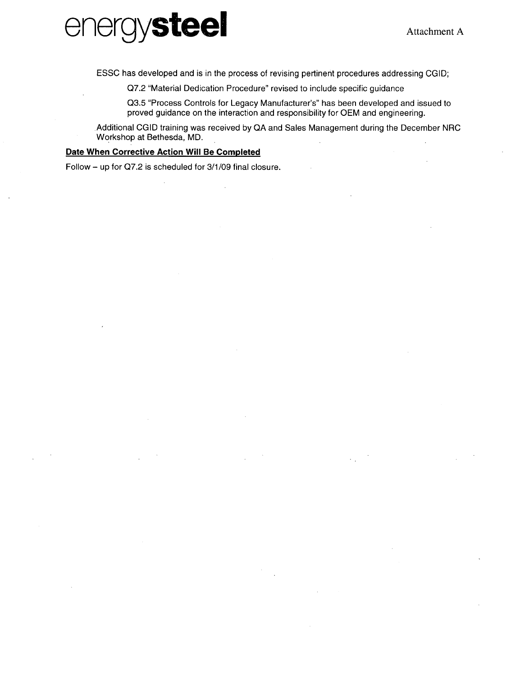

ESSC has developed and is in the process of revising pertinent procedures addressing CGID;

Q7.2 "Material Dedication Procedure" revised to include specific guidance

Q3.5 "Process Controls for Legacy Manufacturer's" has been developed and issued to proved guidance on the interaction and responsibility for OEM and engineering.

Additional CGID training was received by QA and Sales Management during the December NRC Workshop at Bethesda, MD.

## Date When Corrective Action Will Be Completed

Follow - up for Q7.2 is scheduled for 3/1/09 final closure.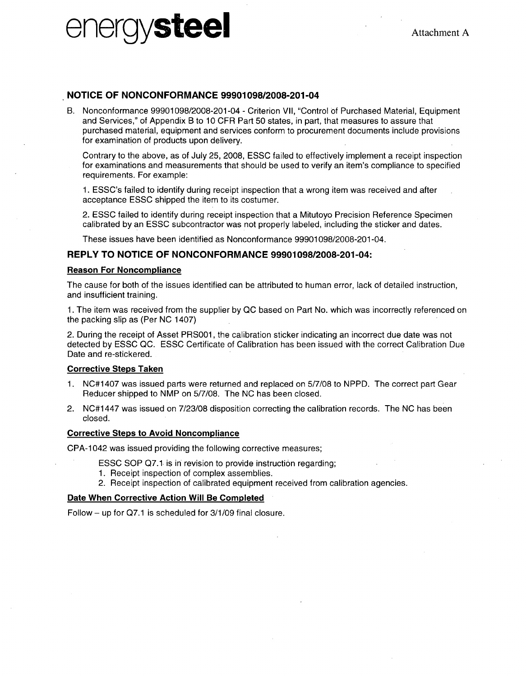# $\text{Cov}$ **energy**  $\text{Cov}$   $\text{Cov}$   $\text{Attachment A}$

# **NOTICE** OF **NONCONFORMANCE 99901098/2008-201-04**

B. Nonconformance 99901098/2008-201-04 - Criterion VII, "Control of Purchased Material, Equipment and Services," of Appendix B to 10 CFR Part 50 states, in part, that measures to assure that purchased material, equipment and services conform to procurement documents include provisions for examination of products upon delivery.

Contrary to the above, as of July 25, 2008, ESSC failed to effectively implement a receipt inspection for examinations and measurements that should be used to verify an item's compliance to specified requirements. For example:

1. ESSC's failed to identify during receipt inspection that a wrong item was received and after acceptance ESSC shipped the item to its costumer.

2. ESSC failed to identify during receipt inspection that a Mitutoyo Precision Reference Specimen calibrated by an ESSC subcontractor was not properly labeled, including the sticker and dates.

These issues have been identified as Nonconformance 99901098/2008-201-04.

## REPLY TO **NOTICE** OF **NONCONFORMANCE 99901098/2008-201-04:**

### Reason For Noncompliance

The cause for both of the issues identified can be attributed to human error, lack of detailed instruction, and insufficient training.

1. The item was received from the supplier by QC based on Part No. which was incorrectly referenced on the packing slip as (Per NC 1407)

2. During the receipt of Asset PRS001, the calibration sticker indicating an incorrect due date was not detected by ESSC QC. ESSC Certificate of Calibration has been issued with the correct Calibration Due Date and re-stickered.

### Corrective Steps Taken

- 1. NC#1407 was issued parts were returned and replaced on 5/7/08 to NPPD. The correct part Gear Reducer shipped to NMP on 5/7/08. The NC has been closed.
- 2. NC#1 447 was issued on 7/23/08 disposition correcting the calibration records. The NC has been closed.

### Corrective Steps to Avoid Noncompliance

CPA-1 042 was issued providing the following corrective measures;

- ESSC SOP Q7.1 is in revision to provide instruction regarding;
- 1. Receipt inspection of complex assemblies.
- 2. Receipt inspection of calibrated equipment received from calibration agencies.

### Date When Corrective Action Will Be Completed

Follow  $-$  up for Q7.1 is scheduled for  $3/1/09$  final closure.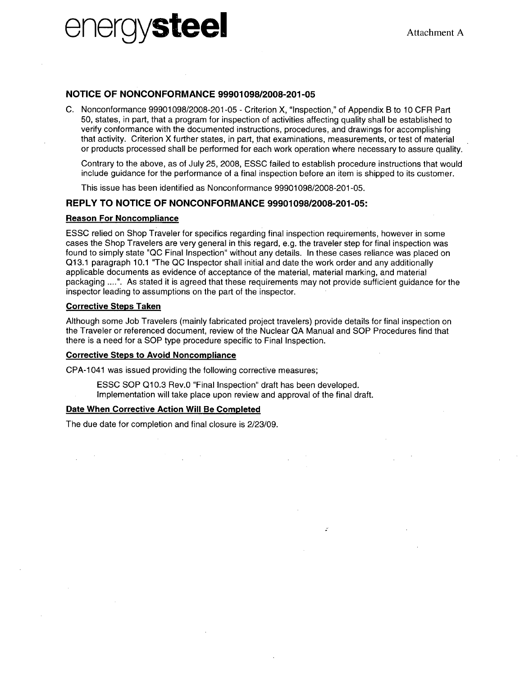# $\text{Cov}(S)$ **energy/steel Attachment A**

# **NOTICE** OF **NONCONFORMANCE 99901098/2008-201-05**

**C.** Nonconformance **99901098/2008-201-05 -** Criterion X, "Inspection," of Appendix B to **10** CFR Part **50,** states, in part, that a program for inspection of activities affecting quality shall be established to verify conformance with the documented instructions, procedures, and drawings for accomplishing that activity. Criterion X further states, in part, that examinations, measurements, or test of material or products processed shall be performed for each work operation where necessary to assure quality.

Contrary to the above, as of July **25, 2008, ESSC** failed to establish procedure instructions that would include guidance for the performance of a final inspection before an item is shipped to its customer.

This issue has been identified as Nonconformance **99901098/2008-201-05.**

# REPLY TO **NOTICE** OF **NONCONFORMANCE 99901098/2008-201-05:**

## Reason For Noncompliance

**ESSC** relied on Shop Traveler for specifics regarding final inspection requirements, however in some cases the Shop Travelers are very general in this regard, e.g. the traveler step for final inspection was found to simply state **"QC** Final Inspection" without any details. In these cases reliance was placed on **Q13.1** paragraph **10.1** "The **QC** Inspector shall initial and date the work order and any additionally applicable documents as evidence of acceptance of the material, material marking, and material packaging **.......** As stated it is agreed that these requirements may not provide sufficient guidance for the inspector leading to assumptions on the part of the inspector.

## Corrective Steps Taken

Although some Job Travelers (mainly fabricated project travelers) provide details for final inspection on the Traveler or referenced document, review of the Nuclear **QA** Manual and **SOP** Procedures find that there is a need for a **SOP** type procedure specific to Final Inspection.

 $\mathcal{L}$ 

# Corrective Steps to Avoid Noncompliance

**CPA-1** 041 was issued providing the following corrective measures;

**ESSC SOP Q1 0.3** Rev.0 "Final Inspection" draft has been developed. Implementation will take place upon review and approval of the final draft.

## Date When Corrective Action Will Be Completed

The due date for completion and final closure is **2/23/09.**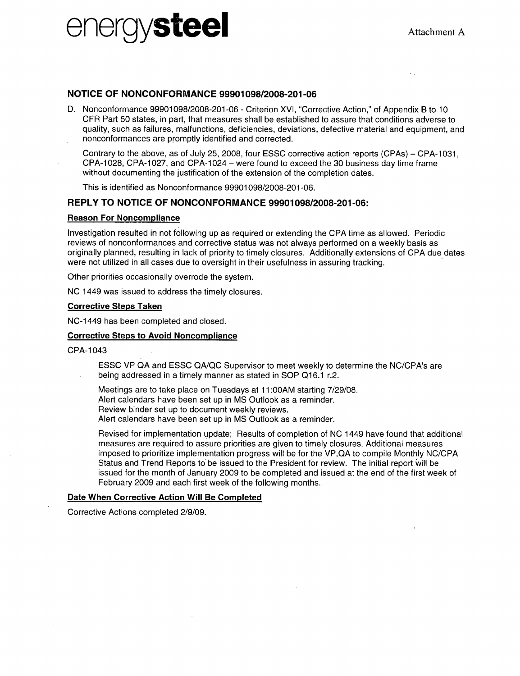

## **NOTICE** OF **NONCONFORMANCE 99901098/2008-201-06**

**D.** Nonconformance 99901098/2008-201-06 - Criterion XVI, "Corrective Action," of Appendix B to 10 CFR Part 50 states, in part, that measures shall be established to assure that conditions adverse to quality, such as failures, malfunctions, deficiencies, deviations, defective material and equipment, and nonconformances are promptly identified and corrected.

Contrary to the above, as of July 25, 2008, four ESSC corrective action reports (CPAs) – CPA-1031, CPA-1 028, CPA-1 027, and CPA-1 024 - were found to exceed the 30 business day time frame without documenting the justification of the extension of the completion dates.

This is identified as Nonconformance 99901098/2008-201-06.

## REPLY TO **NOTICE** OF **NONCONFORMANCE 99901098/2008-201-06:**

#### Reason For Noncompliance

Investigation resulted in not following up as required or extending the CPA time as allowed. Periodic reviews of nonconformances and corrective status was not always performed on a weekly basis as originally planned, resulting in lack of priority to timely closures. Additionally extensions of CPA due dates were not utilized in all cases due to oversight in their usefulness in assuring tracking.

Other priorities occasionally overrode the system.

NC 1449 was issued to address the timely closures.

#### Corrective Steps Taken

NC-1 449 has been completed and closed.

## Corrective Steps to Avoid Noncompliance

## CPA-1 043

ESSC VP QA and ESSC QA/QC Supervisor to meet weekly to determine the NC/CPA's are being addressed in a timely manner as stated in SOP Q16.1 r.2.

Meetings are to take place on Tuesdays at 11:00AM starting 7/29/08.

Alert calendars have been set up in MS Outlook as a reminder.

Review binder set up to document weekly reviews.

Alert calendars have been set up in MS Outlook as a reminder.

Revised for implementation update; Results of completion of NC 1449 have found that additional measures are required to assure priorities are given to timely closures. Additional measures imposed to prioritize implementation progress will be for the VP,QA to compile Monthly NC/CPA Status and Trend Reports to be issued to the President for review. The initial report will be issued for the month of January 2009 to be completed and issued at the end of the first week of February 2009 and each first week of the following months.

### Date When Corrective Action Will Be Completed

Corrective Actions completed 2/9/09.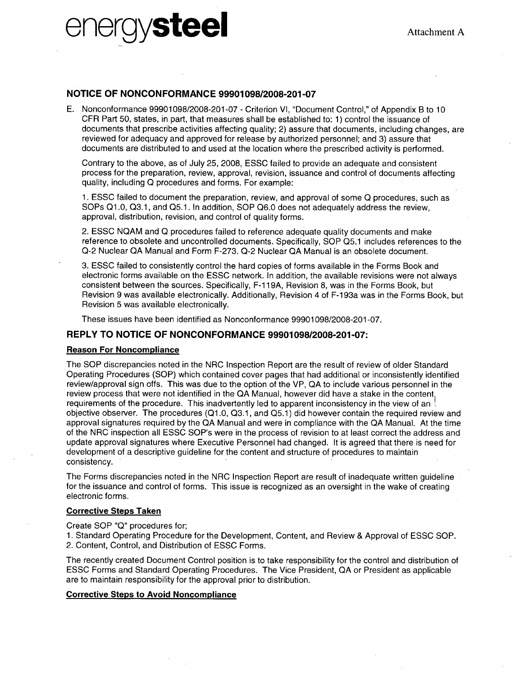# $\text{Q}$ **Steel**  $\text{A}$ ttachment **A**

# **NOTICE** OF **NONCONFORMANCE 99901098/2008-201-07**

**E.** Nonconformance **99901098/2008-201-07 -** Criterion VI, "Document Control," of Appendix B to **10** CFR Part **50,** states, in part, that measures shall be established to: **1)** control the issuance of documents that prescribe activities affecting quality; 2) assure that documents, including changes, are reviewed for adequacy and approved for release **by** authorized personnel; and **3)** assure that documents are distributed to and used at the location where the prescribed activity is performed.

Contrary to the above, as of July **25,** 2008, **ESSC** failed to provide an adequate and consistent process for the preparation, review, approval, revision, issuance and control of documents affecting quality, including **Q** procedures and forms. For example:

**1. ESSC** failed to document the preparation, review, and approval of some **Q** procedures, such as SOPs Q1.0, Q3.1, and Q5.1. In addition, SOP Q6.0 does not adequately address the review, approval, distribution, revision, and control of quality forms.

2. **ESSC NQAM** and **Q** procedures failed to reference adequate quality documents and make reference to obsolete and uncontrolled documents. Specifically, **SOP Q5.1** includes references to the **Q-2** Nuclear **QA** Manual and Form **F-273. Q-2** Nuclear **QA** Manual is an obsolete document.

**3. ESSC** failed to consistently control the hard copies of forms available in the Forms Book and electronic forms available on the **ESSC** network. In addition, the available revisions were not always consistent between the sources. Specifically, F-1 **19A,** Revision **8,** was in the Forms Book, but Revision **9** was available electronically. Additionally, Revision 4 of F-1 93a was in the Forms Book, but Revision **5** was available electronically.

These issues have been identified as Nonconformance **99901098/2008-201-07.**

# REPLY TO **NOTICE** OF **NONCONFORMANCE 99901098/2008-201-07:**

## Reason For Noncompliance

The **SOP** discrepancies noted in the NRC Inspection Report are the result of review of older Standard Operating Procedures **(SOP)** which contained cover pages that had additional or inconsistently identified review/approval sign offs. This was due to the option of the VP, **QA** to include various personnel in the review process that were not identified in the **QA** Manual, however did have a stake in the content requirements of the procedure. This inadvertently led to apparent inconsistency in the view of an objective observer. The procedures **(Q-1.0, Q3.1,** and **Q5.1)** did however contain the required review and approval signatures required **by** the **QA** Manual and were in compliance with the **QA** Manual. At the time of the NRC inspection all **ESSC** SOP's were in the process of revision to at least correct the address and update approval signatures where Executive Personnel had changed. It is agreed that there is need for development of a descriptive guideline for the content and structure of procedures to maintain consistency.

The Forms discrepancies noted in the NRC Inspection Report are result of inadequate written guideline for the issuance and control of forms. This issue is recognized as an oversight in the wake of creating electronic forms.

# Corrective Steps Taken

Create **SOP "Q"** procedures for;

**1.** Standard Operating Procedure for the Development, Content, and Review **&** Approval of **ESSC SOP.** 2. Content, Control, and Distribution of **ESSC** Forms.

The recently created Document Control position is to take responsibility for the control and distribution of **ESSC** Forms and Standard Operating Procedures. The Vice President, **QA** or President as applicable are to maintain responsibility for the approval prior to distribution.

# Corrective Steps to Avoid Noncompliance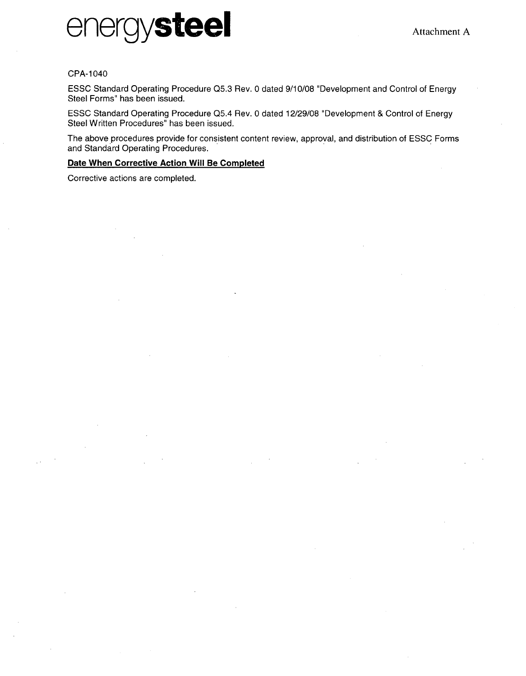

### CPA-1040

ESSC Standard Operating Procedure Q5.3 Rev. 0 dated 9/10/08 "Development and Control of Energy Steel Forms" has been issued.

ESSC Standard Operating Procedure Q5.4 Rev. 0 dated 12/29/08 "Development & Control of Energy Steel Written Procedures" has been issued.

The above procedures provide for consistent content review, approval, and distribution of ESSC Forms and Standard Operating Procedures.

## Date When Corrective Action Will Be Completed

Corrective actions are completed.